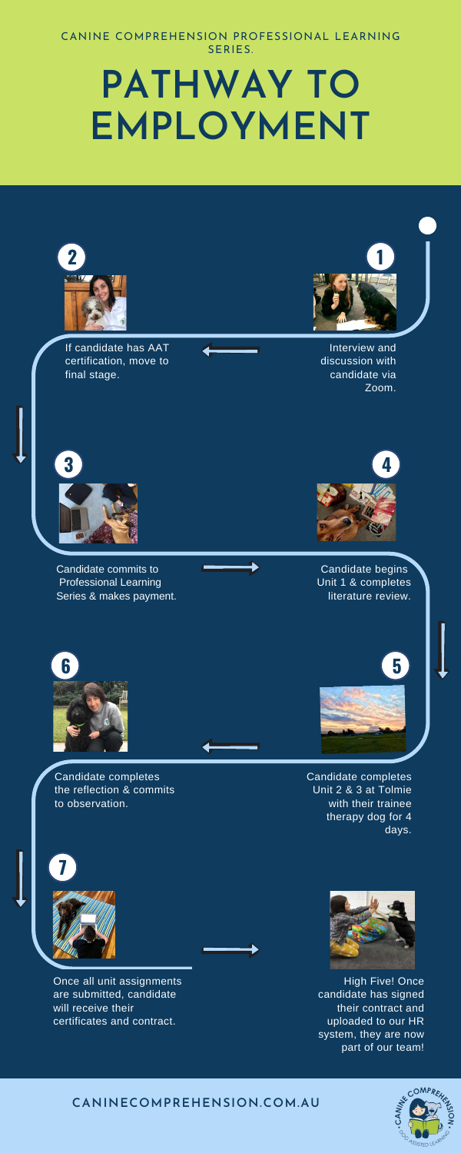Candidate commits to Professional Learning Series & makes payment.

> Candidate completes Unit 2 & 3 at Tolmie with their trainee therapy dog for 4 days.

## **PATHWAY TO EMPLOYMENT**





#### CANINE COMPREHENSION PROFESSIONAL LEARNING SERIES.

#### **CANINECOMPREHENSION.COM.AU**



High Five! Once candidate has signed their contract and uploaded to our HR system, they are now part of our team!







Interview and discussion with candidate via Zoom.

If candidate has AAT certification, move to final stage.



Candidate begins Unit 1 & completes literature review.

Candidate completes the reflection & commits to observation.











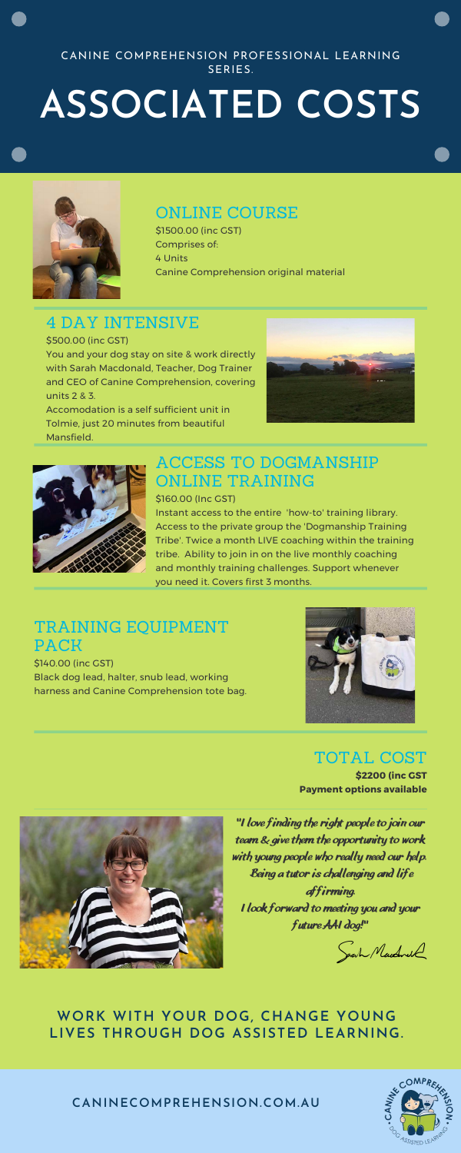**"I love finding the right people to join our team & give them the opportunity to work with young people who really need our help. Being a tutor is challenging and life affirming. I look forward to meeting you and your future AAI dog!"**

Sarh Mandwell

### TRAINING EQUIPMENT PACK

\$140.00 (inc GST) Black dog lead, halter, snub lead, working harness and Canine Comprehension tote bag.



# **ASSOCIATED COSTS**



#### CANINE COMPREHENSION PROFESSIONAL LEARNING SERIES.

#### ONLINE COURSE

\$1500.00 (inc GST) Comprises of: 4 Units Canine Comprehension original material

### 4 DAY INTENSIVE

\$500.00 (inc GST)

You and your dog stay on site & work directly with Sarah Macdonald, Teacher, Dog Trainer and CEO of Canine Comprehension, covering units 2 & 3.

Accomodation is a self sufficient unit in Tolmie, just 20 minutes from beautiful





Mansfield.

### ACCESS TO DOGMANSHIP ONLINE TRAINING

\$160.00 (Inc GST)

Instant access to the entire 'how-to' training library. Access to the private group the 'Dogmanship Training Tribe'. Twice a month LIVE coaching within the training tribe. Ability to join in on the live monthly coaching and monthly training challenges. Support whenever you need it. Covers first 3 months.

#### **WORK WITH YOUR DOG, CHANGE YOUNG LIVES THROUGH DOG ASSISTED LEARNING.**

**CANINECOMPREHENSION.COM.AU**



#### TOTAL COST

**\$2200 (inc GST Payment options available**

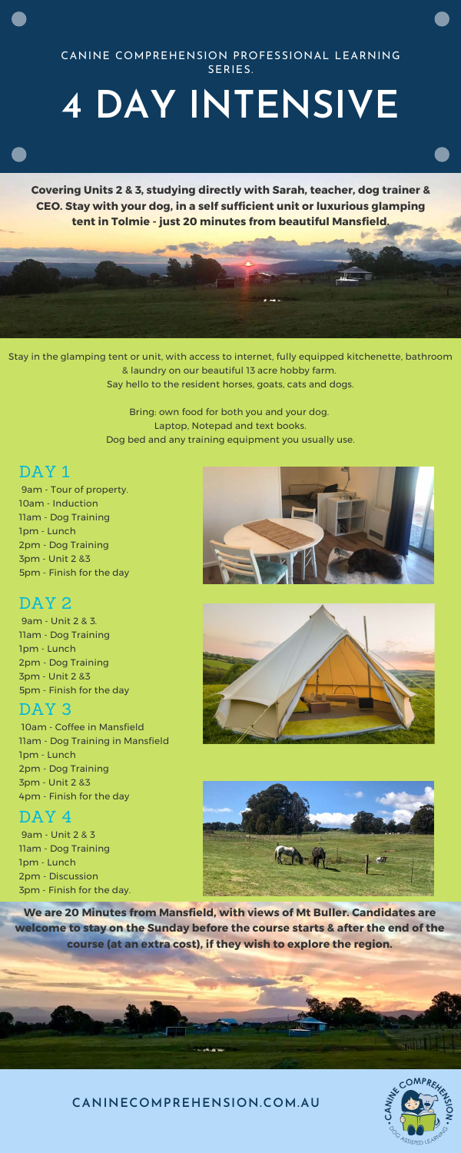**CANINECOMPREHENSION.COM.AU**



 9am - Tour of property. 10am - Induction 11am - Dog Training 1pm - Lunch 2pm - Dog Training 3pm - Unit 2 &3 5pm - Finish for the day

#### DAY<sub>2</sub>

 9am - Unit 2 & 3. 11am - Dog Training 1pm - Lunch 2pm - Dog Training 3pm - Unit 2 &3 5pm - Finish for the day





#### DAY<sub>3</sub>

 10am - Coffee in Mansfield 11am - Dog Training in Mansfield 1pm - Lunch 2pm - Dog Training 3pm - Unit 2 &3 4pm - Finish for the day

#### DAY 4

## **4 DAY INTENSIVE**

#### CANINE COMPREHENSION PROFESSIONAL LEARNING SERIES.

**Covering Units 2 & 3, studying directly with Sarah, teacher, dog trainer & CEO. Stay with your dog, in a self sufficient unit or luxurious glamping tent in Tolmie - just 20 minutes from beautiful Mansfield.**

 9am - Unit 2 & 3 11am - Dog Training 1pm - Lunch 2pm - Discussion 3pm - Finish for the day.



Stay in the glamping tent or unit, with access to internet, fully equipped kitchenette, bathroom & laundry on our beautiful 13 acre hobby farm. Say hello to the resident horses, goats, cats and dogs.

> Bring: own food for both you and your dog. Laptop, Notepad and text books. Dog bed and any training equipment you usually use.

#### DAY<sub>1</sub>

**We are 20 Minutes from Mansfield, with views of Mt Buller. Candidates are welcome to stay on the Sunday before the course starts & after the end of the course (at an extra cost), if they wish to explore the region.**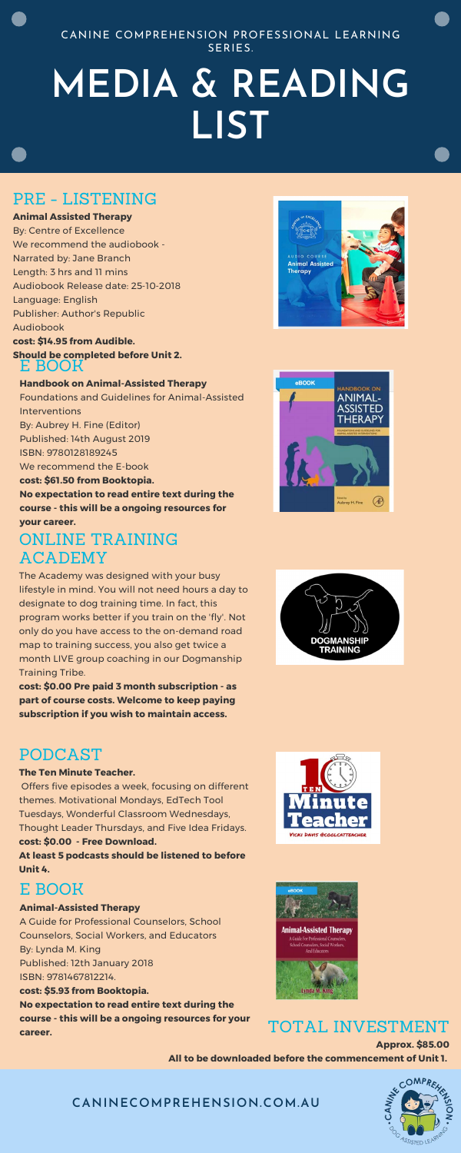**CANINECOMPREHENSION.COM.AU**

## **MEDIA & READING LIST**

CANINE COMPREHENSION PROFESSIONAL LEARNING SERIES.

#### ONLINE TRAINING ACADEMY

The Academy was designed with your busy lifestyle in mind. You will not need hours a day to designate to dog training time. In fact, this program works better if you train on the 'fly'. Not only do you have access to the on-demand road map to training success, you also get twice a month LIVE group coaching in our Dogmanship Training Tribe.

**cost: \$0.00 Pre paid 3 month subscription - as**







**part of course costs. Welcome to keep paying subscription if you wish to maintain access.**

#### PRE - LISTENING

#### **Animal Assisted Therapy**

By: Centre of Excellence We recommend the audiobook - Narrated by: Jane Branch Length: 3 hrs and 11 mins Audiobook Release date: 25-10-2018 Language: English Publisher: Author's Republic Audiobook **cost: \$14.95 from Audible.**

#### **Should be completed before Unit 2.** E BOOK

**Handbook on Animal-Assisted Therapy** Foundations and Guidelines for Animal-Assisted Interventions By: Aubrey H. Fine (Editor) Published: 14th August 2019 ISBN: 9780128189245 We recommend the E-book **cost: \$61.50 from Booktopia. No expectation to read entire text during the**

**course - this will be a ongoing resources for your career.**

#### TOTAL INVESTMENT

**Approx. \$85.00 All to be downloaded before the commencement of Unit 1.** 



#### PODCAST

#### **The Ten Minute Teacher.**

 Offers five episodes a week, focusing on different themes. Motivational Mondays, EdTech Tool Tuesdays, Wonderful Classroom Wednesdays, Thought Leader Thursdays, and Five Idea Fridays.

#### **cost: \$0.00 - Free Download.**

**At least 5 podcasts should be listened to before Unit 4.**

#### E BOOK

**Animal-Assisted Therapy** A Guide for Professional Counselors, School Counselors, Social Workers, and Educators By: Lynda M. King Published: 12th January 2018 ISBN: 9781467812214.

**cost: \$5.93 from Booktopia. No expectation to read entire text during the course - this will be a ongoing resources for your career.**